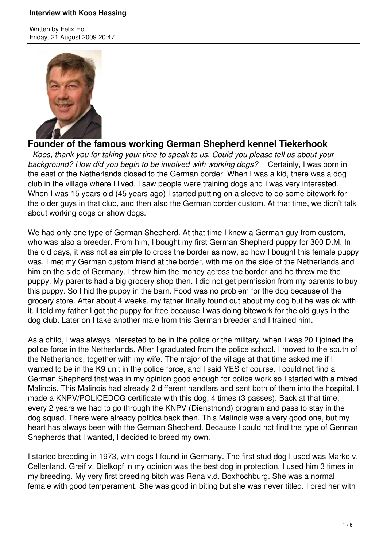Written by Felix Ho Friday, 21 August 2009 20:47



# **Founder of the famous working German Shepherd kennel Tiekerhook**

 *Koos, thank you for taking your time to speak to us. Could you please tell us about your background? How did you begin to be involved with working dogs?* Certainly, I was born in the east of the Netherlands closed to the German border. When I was a kid, there was a dog club in the village where I lived. I saw people were training dogs and I was very interested. When I was 15 years old (45 years ago) I started putting on a sleeve to do some bitework for the older guys in that club, and then also the German border custom. At that time, we didn't talk about working dogs or show dogs.

We had only one type of German Shepherd. At that time I knew a German guy from custom, who was also a breeder. From him, I bought my first German Shepherd puppy for 300 D.M. In the old days, it was not as simple to cross the border as now, so how I bought this female puppy was, I met my German custom friend at the border, with me on the side of the Netherlands and him on the side of Germany, I threw him the money across the border and he threw me the puppy. My parents had a big grocery shop then. I did not get permission from my parents to buy this puppy. So I hid the puppy in the barn. Food was no problem for the dog because of the grocery store. After about 4 weeks, my father finally found out about my dog but he was ok with it. I told my father I got the puppy for free because I was doing bitework for the old guys in the dog club. Later on I take another male from this German breeder and I trained him.

As a child, I was always interested to be in the police or the military, when I was 20 I joined the police force in the Netherlands. After I graduated from the police school, I moved to the south of the Netherlands, together with my wife. The major of the village at that time asked me if I wanted to be in the K9 unit in the police force, and I said YES of course. I could not find a German Shepherd that was in my opinion good enough for police work so I started with a mixed Malinois. This Malinois had already 2 different handlers and sent both of them into the hospital. I made a KNPV/POLICEDOG certificate with this dog, 4 times (3 passes). Back at that time, every 2 years we had to go through the KNPV (Diensthond) program and pass to stay in the dog squad. There were already politics back then. This Malinois was a very good one, but my heart has always been with the German Shepherd. Because I could not find the type of German Shepherds that I wanted, I decided to breed my own.

I started breeding in 1973, with dogs I found in Germany. The first stud dog I used was Marko v. Cellenland. Greif v. Bielkopf in my opinion was the best dog in protection. I used him 3 times in my breeding. My very first breeding bitch was Rena v.d. Boxhochburg. She was a normal female with good temperament. She was good in biting but she was never titled. I bred her with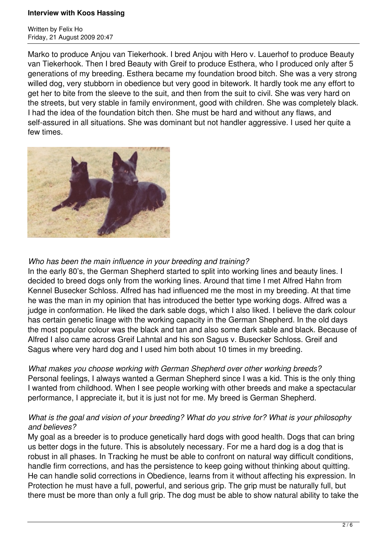Written by Felix Ho Friday, 21 August 2009 20:47

Marko to produce Anjou van Tiekerhook. I bred Anjou with Hero v. Lauerhof to produce Beauty van Tiekerhook. Then I bred Beauty with Greif to produce Esthera, who I produced only after 5 generations of my breeding. Esthera became my foundation brood bitch. She was a very strong willed dog, very stubborn in obedience but very good in bitework. It hardly took me any effort to get her to bite from the sleeve to the suit, and then from the suit to civil. She was very hard on the streets, but very stable in family environment, good with children. She was completely black. I had the idea of the foundation bitch then. She must be hard and without any flaws, and self-assured in all situations. She was dominant but not handler aggressive. I used her quite a few times.



### *Who has been the main influence in your breeding and training?*

In the early 80's, the German Shepherd started to split into working lines and beauty lines. I decided to breed dogs only from the working lines. Around that time I met Alfred Hahn from Kennel Busecker Schloss. Alfred has had influenced me the most in my breeding. At that time he was the man in my opinion that has introduced the better type working dogs. Alfred was a judge in conformation. He liked the dark sable dogs, which I also liked. I believe the dark colour has certain genetic linage with the working capacity in the German Shepherd. In the old days the most popular colour was the black and tan and also some dark sable and black. Because of Alfred I also came across Greif Lahntal and his son Sagus v. Busecker Schloss. Greif and Sagus where very hard dog and I used him both about 10 times in my breeding.

## *What makes you choose working with German Shepherd over other working breeds?*

Personal feelings, I always wanted a German Shepherd since I was a kid. This is the only thing I wanted from childhood. When I see people working with other breeds and make a spectacular performance, I appreciate it, but it is just not for me. My breed is German Shepherd.

### *What is the goal and vision of your breeding? What do you strive for? What is your philosophy and believes?*

My goal as a breeder is to produce genetically hard dogs with good health. Dogs that can bring us better dogs in the future. This is absolutely necessary. For me a hard dog is a dog that is robust in all phases. In Tracking he must be able to confront on natural way difficult conditions, handle firm corrections, and has the persistence to keep going without thinking about quitting. He can handle solid corrections in Obedience, learns from it without affecting his expression. In Protection he must have a full, powerful, and serious grip. The grip must be naturally full, but there must be more than only a full grip. The dog must be able to show natural ability to take the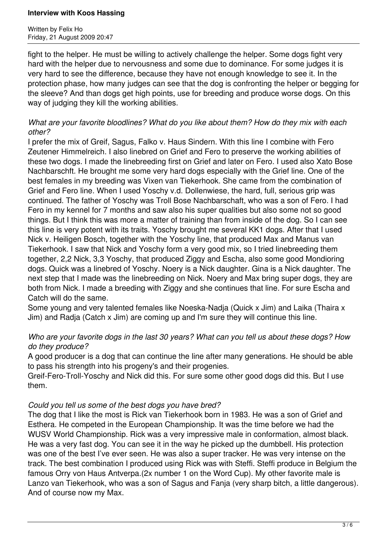Written by Felix Ho Friday, 21 August 2009 20:47

fight to the helper. He must be willing to actively challenge the helper. Some dogs fight very hard with the helper due to nervousness and some due to dominance. For some judges it is very hard to see the difference, because they have not enough knowledge to see it. In the protection phase, how many judges can see that the dog is confronting the helper or begging for the sleeve? And than dogs get high points, use for breeding and produce worse dogs. On this way of judging they kill the working abilities.

### *What are your favorite bloodlines? What do you like about them? How do they mix with each other?*

I prefer the mix of Greif, Sagus, Falko v. Haus Sindern. With this line I combine with Fero Zeutener Himmelreich. I also linebred on Grief and Fero to preserve the working abilities of these two dogs. I made the linebreeding first on Grief and later on Fero. I used also Xato Bose Nachbarschft. He brought me some very hard dogs especially with the Grief line. One of the best females in my breeding was Vixen van Tiekerhook. She came from the combination of Grief and Fero line. When I used Yoschy v.d. Dollenwiese, the hard, full, serious grip was continued. The father of Yoschy was Troll Bose Nachbarschaft, who was a son of Fero. I had Fero in my kennel for 7 months and saw also his super qualities but also some not so good things. But I think this was more a matter of training than from inside of the dog. So I can see this line is very potent with its traits. Yoschy brought me several KK1 dogs. After that I used Nick v. Heiligen Bosch, together with the Yoschy line, that produced Max and Manus van Tiekerhook. I saw that Nick and Yoschy form a very good mix, so I tried linebreeding them together, 2,2 Nick, 3,3 Yoschy, that produced Ziggy and Escha, also some good Mondioring dogs. Quick was a linebred of Yoschy. Noery is a Nick daughter. Gina is a Nick daughter. The next step that I made was the linebreeding on Nick. Noery and Max bring super dogs, they are both from Nick. I made a breeding with Ziggy and she continues that line. For sure Escha and Catch will do the same.

Some young and very talented females like Noeska-Nadja (Quick x Jim) and Laika (Thaira x Jim) and Radja (Catch x Jim) are coming up and I'm sure they will continue this line.

### *Who are your favorite dogs in the last 30 years? What can you tell us about these dogs? How do they produce?*

A good producer is a dog that can continue the line after many generations. He should be able to pass his strength into his progeny's and their progenies.

Greif-Fero-Troll-Yoschy and Nick did this. For sure some other good dogs did this. But I use them.

### *Could you tell us some of the best dogs you have bred?*

The dog that I like the most is Rick van Tiekerhook born in 1983. He was a son of Grief and Esthera. He competed in the European Championship. It was the time before we had the WUSV World Championship. Rick was a very impressive male in conformation, almost black. He was a very fast dog. You can see it in the way he picked up the dumbbell. His protection was one of the best I've ever seen. He was also a super tracker. He was very intense on the track. The best combination I produced using Rick was with Steffi. Steffi produce in Belgium the famous Orry von Haus Antverpa.(2x number 1 on the Word Cup). My other favorite male is Lanzo van Tiekerhook, who was a son of Sagus and Fanja (very sharp bitch, a little dangerous). And of course now my Max.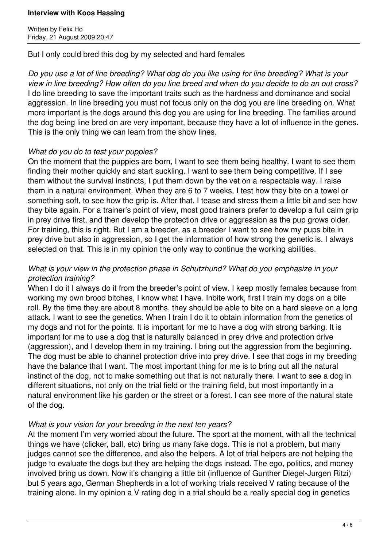Written by Felix Ho Friday, 21 August 2009 20:47

But I only could bred this dog by my selected and hard females

*Do you use a lot of line breeding? What dog do you like using for line breeding? What is your view in line breeding? How often do you line breed and when do you decide to do an out cross?* I do line breeding to save the important traits such as the hardness and dominance and social aggression. In line breeding you must not focus only on the dog you are line breeding on. What more important is the dogs around this dog you are using for line breeding. The families around the dog being line bred on are very important, because they have a lot of influence in the genes. This is the only thing we can learn from the show lines.

#### *What do you do to test your puppies?*

On the moment that the puppies are born, I want to see them being healthy. I want to see them finding their mother quickly and start suckling. I want to see them being competitive. If I see them without the survival instincts, I put them down by the vet on a respectable way. I raise them in a natural environment. When they are 6 to 7 weeks, I test how they bite on a towel or something soft, to see how the grip is. After that, I tease and stress them a little bit and see how they bite again. For a trainer's point of view, most good trainers prefer to develop a full calm grip in prey drive first, and then develop the protection drive or aggression as the pup grows older. For training, this is right. But I am a breeder, as a breeder I want to see how my pups bite in prey drive but also in aggression, so I get the information of how strong the genetic is. I always selected on that. This is in my opinion the only way to continue the working abilities.

### *What is your view in the protection phase in Schutzhund? What do you emphasize in your protection training?*

When I do it I always do it from the breeder's point of view. I keep mostly females because from working my own brood bitches, I know what I have. Inbite work, first I train my dogs on a bite roll. By the time they are about 8 months, they should be able to bite on a hard sleeve on a long attack. I want to see the genetics. When I train I do it to obtain information from the genetics of my dogs and not for the points. It is important for me to have a dog with strong barking. It is important for me to use a dog that is naturally balanced in prey drive and protection drive (aggression), and I develop them in my training. I bring out the aggression from the beginning. The dog must be able to channel protection drive into prey drive. I see that dogs in my breeding have the balance that I want. The most important thing for me is to bring out all the natural instinct of the dog, not to make something out that is not naturally there. I want to see a dog in different situations, not only on the trial field or the training field, but most importantly in a natural environment like his garden or the street or a forest. I can see more of the natural state of the dog.

### *What is your vision for your breeding in the next ten years?*

At the moment I'm very worried about the future. The sport at the moment, with all the technical things we have (clicker, ball, etc) bring us many fake dogs. This is not a problem, but many judges cannot see the difference, and also the helpers. A lot of trial helpers are not helping the judge to evaluate the dogs but they are helping the dogs instead. The ego, politics, and money involved bring us down. Now it's changing a little bit (influence of Gunther Diegel-Jurgen Ritzi) but 5 years ago, German Shepherds in a lot of working trials received V rating because of the training alone. In my opinion a V rating dog in a trial should be a really special dog in genetics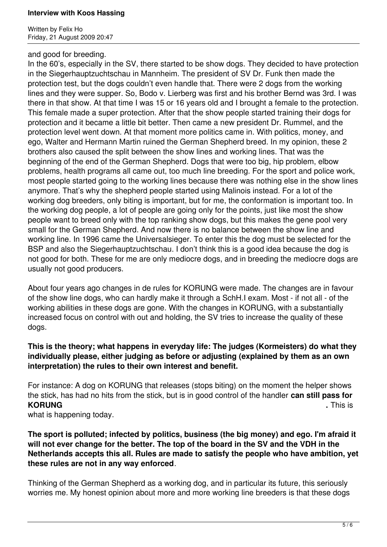Written by Felix Ho Friday, 21 August 2009 20:47

#### and good for breeding.

In the 60's, especially in the SV, there started to be show dogs. They decided to have protection in the Siegerhauptzuchtschau in Mannheim. The president of SV Dr. Funk then made the protection test, but the dogs couldn't even handle that. There were 2 dogs from the working lines and they were supper. So, Bodo v. Lierberg was first and his brother Bernd was 3rd. I was there in that show. At that time I was 15 or 16 years old and I brought a female to the protection. This female made a super protection. After that the show people started training their dogs for protection and it became a little bit better. Then came a new president Dr. Rummel, and the protection level went down. At that moment more politics came in. With politics, money, and ego, Walter and Hermann Martin ruined the German Shepherd breed. In my opinion, these 2 brothers also caused the split between the show lines and working lines. That was the beginning of the end of the German Shepherd. Dogs that were too big, hip problem, elbow problems, health programs all came out, too much line breeding. For the sport and police work, most people started going to the working lines because there was nothing else in the show lines anymore. That's why the shepherd people started using Malinois instead. For a lot of the working dog breeders, only biting is important, but for me, the conformation is important too. In the working dog people, a lot of people are going only for the points, just like most the show people want to breed only with the top ranking show dogs, but this makes the gene pool very small for the German Shepherd. And now there is no balance between the show line and working line. In 1996 came the Universalsieger. To enter this the dog must be selected for the BSP and also the Siegerhauptzuchtschau. I don't think this is a good idea because the dog is not good for both. These for me are only mediocre dogs, and in breeding the mediocre dogs are usually not good producers.

About four years ago changes in de rules for KORUNG were made. The changes are in favour of the show line dogs, who can hardly make it through a SchH.I exam. Most - if not all - of the working abilities in these dogs are gone. With the changes in KORUNG, with a substantially increased focus on control with out and holding, the SV tries to increase the quality of these dogs.

### **This is the theory; what happens in everyday life: The judges (Kormeisters) do what they individually please, either judging as before or adjusting (explained by them as an own interpretation) the rules to their own interest and benefit.**

For instance: A dog on KORUNG that releases (stops biting) on the moment the helper shows the stick, has had no hits from the stick, but is in good control of the handler **can still pass for KORUNG .** This is

what is happening today.

### **The sport is polluted; infected by politics, business (the big money) and ego. I'm afraid it will not ever change for the better. The top of the board in the SV and the VDH in the Netherlands accepts this all. Rules are made to satisfy the people who have ambition, yet these rules are not in any way enforced**.

Thinking of the German Shepherd as a working dog, and in particular its future, this seriously worries me. My honest opinion about more and more working line breeders is that these dogs